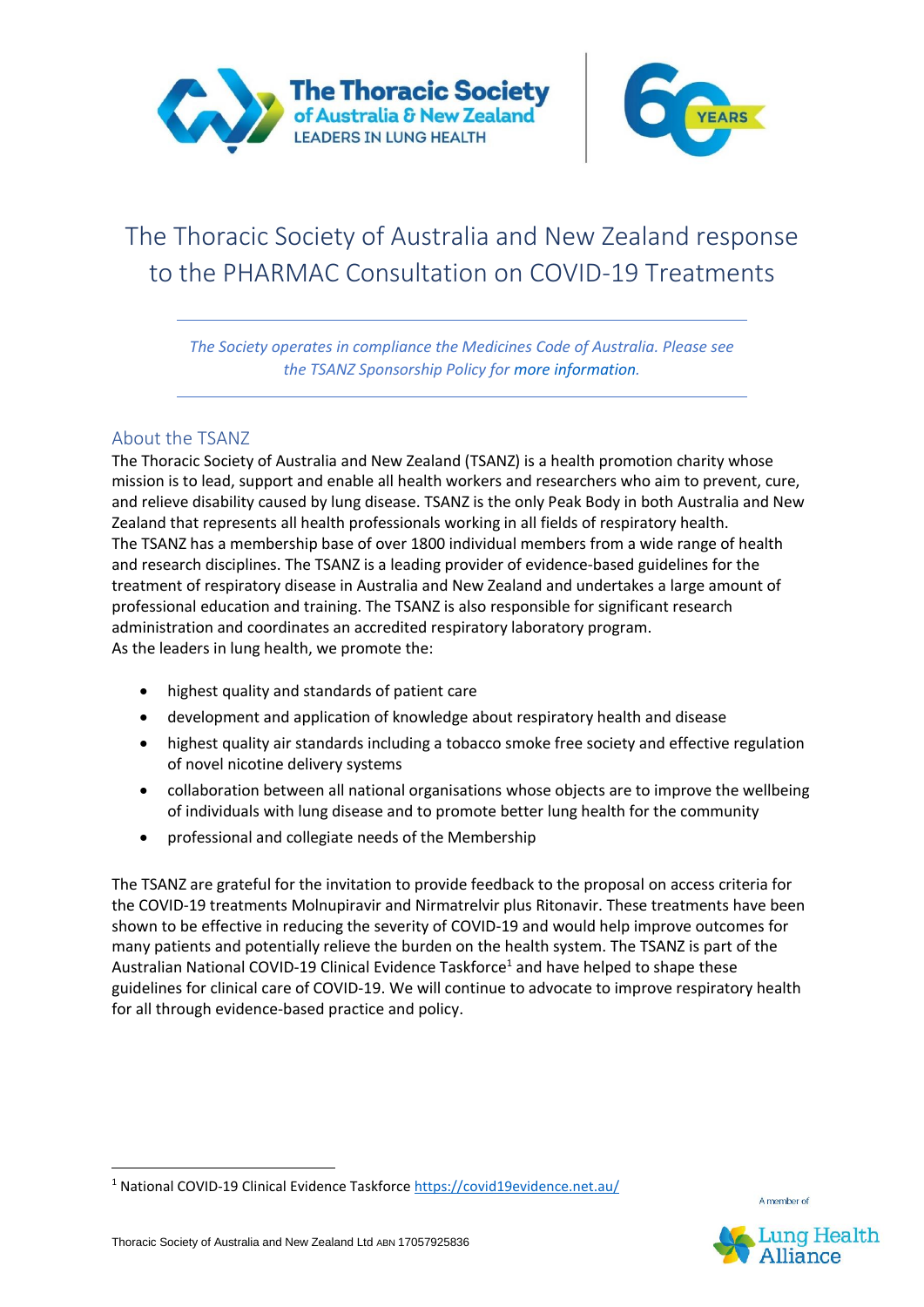



# The Thoracic Society of Australia and New Zealand response to the PHARMAC Consultation on COVID-19 Treatments

*The Society operates in compliance the Medicines Code of Australia. Please see the TSANZ Sponsorship Policy for more information.*

# About the TSANZ

The Thoracic Society of Australia and New Zealand (TSANZ) is a health promotion charity whose mission is to lead, support and enable all health workers and researchers who aim to prevent, cure, and relieve disability caused by lung disease. TSANZ is the only Peak Body in both Australia and New Zealand that represents all health professionals working in all fields of respiratory health. The TSANZ has a membership base of over 1800 individual members from a wide range of health and research disciplines. The TSANZ is a leading provider of evidence-based guidelines for the treatment of respiratory disease in Australia and New Zealand and undertakes a large amount of professional education and training. The TSANZ is also responsible for significant research administration and coordinates an accredited respiratory laboratory program. As the leaders in lung health, we promote the:

- highest quality and standards of patient care
- development and application of knowledge about respiratory health and disease
- highest quality air standards including a tobacco smoke free society and effective regulation of novel nicotine delivery systems
- collaboration between all national organisations whose objects are to improve the wellbeing of individuals with lung disease and to promote better lung health for the community
- professional and collegiate needs of the Membership

The TSANZ are grateful for the invitation to provide feedback to the proposal on access criteria for the COVID-19 treatments Molnupiravir and Nirmatrelvir plus Ritonavir. These treatments have been shown to be effective in reducing the severity of COVID-19 and would help improve outcomes for many patients and potentially relieve the burden on the health system. The TSANZ is part of the Australian National COVID-19 Clinical Evidence Taskforce<sup>1</sup> and have helped to shape these guidelines for clinical care of COVID-19. We will continue to advocate to improve respiratory health for all through evidence-based practice and policy.



A member of

<sup>1</sup> National COVID-19 Clinical Evidence Taskforce<https://covid19evidence.net.au/>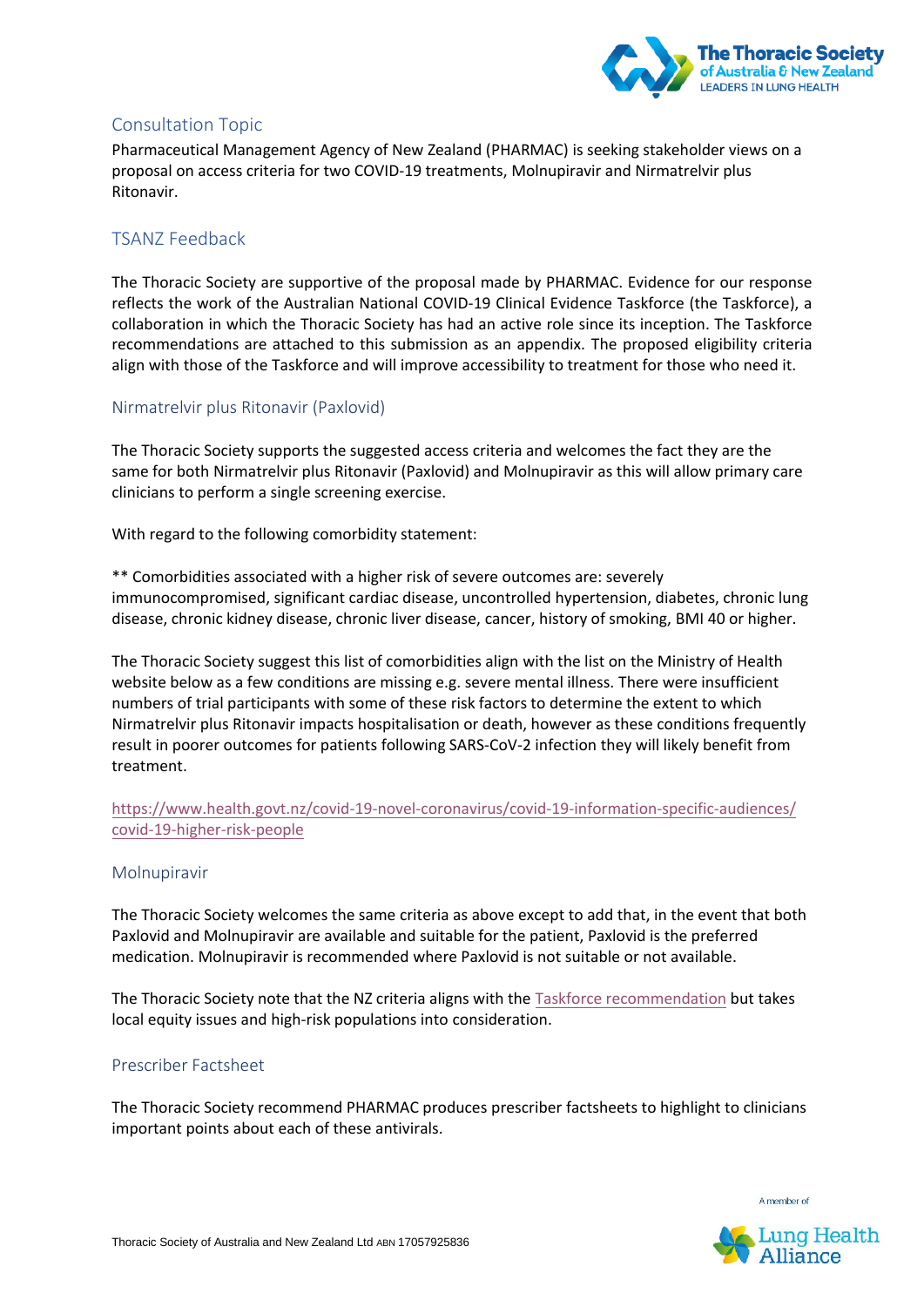

# Consultation Topic

Pharmaceutical Management Agency of New Zealand (PHARMAC) is seeking stakeholder views on a proposal on access criteria for two COVID-19 treatments, Molnupiravir and Nirmatrelvir plus Ritonavir.

## TSANZ Feedback

The Thoracic Society are supportive of the proposal made by PHARMAC. Evidence for our response reflects the work of the Australian National COVID-19 Clinical Evidence Taskforce (the Taskforce), a collaboration in which the Thoracic Society has had an active role since its inception. The Taskforce recommendations are attached to this submission as an appendix. The proposed eligibility criteria align with those of the Taskforce and will improve accessibility to treatment for those who need it.

### Nirmatrelvir plus Ritonavir (Paxlovid)

The Thoracic Society supports the suggested access criteria and welcomes the fact they are the same for both Nirmatrelvir plus Ritonavir (Paxlovid) and Molnupiravir as this will allow primary care clinicians to perform a single screening exercise.

With regard to the following comorbidity statement:

\*\* Comorbidities associated with a higher risk of severe outcomes are: severely immunocompromised, significant cardiac disease, uncontrolled hypertension, diabetes, chronic lung disease, chronic kidney disease, chronic liver disease, cancer, history of smoking, BMI 40 or higher.

The Thoracic Society suggest this list of comorbidities align with the list on the Ministry of Health website below as a few conditions are missing e.g. severe mental illness. There were insufficient numbers of trial participants with some of these risk factors to determine the extent to which Nirmatrelvir plus Ritonavir impacts hospitalisation or death, however as these conditions frequently result in poorer outcomes for patients following SARS-CoV-2 infection they will likely benefit from treatment.

### [https://www.health.govt.nz/covid-19-novel-coronavirus/covid-19-information-specific-audiences/](https://www.health.govt.nz/covid-19-novel-coronavirus/covid-19-information-specific-audiences/covid-19-higher-risk-people) [covid-19-higher-risk-people](https://www.health.govt.nz/covid-19-novel-coronavirus/covid-19-information-specific-audiences/covid-19-higher-risk-people)

#### Molnupiravir

The Thoracic Society welcomes the same criteria as above except to add that, in the event that both Paxlovid and Molnupiravir are available and suitable for the patient, Paxlovid is the preferred medication. Molnupiravir is recommended where Paxlovid is not suitable or not available.

The Thoracic Society note that the NZ criteria aligns with the [Taskforce recommendation](https://app.magicapp.org/#/guideline/L4Q5An/section/LA6kkM) but takes local equity issues and high-risk populations into consideration.

#### Prescriber Factsheet

The Thoracic Society recommend PHARMAC produces prescriber factsheets to highlight to clinicians important points about each of these antivirals.

A member of